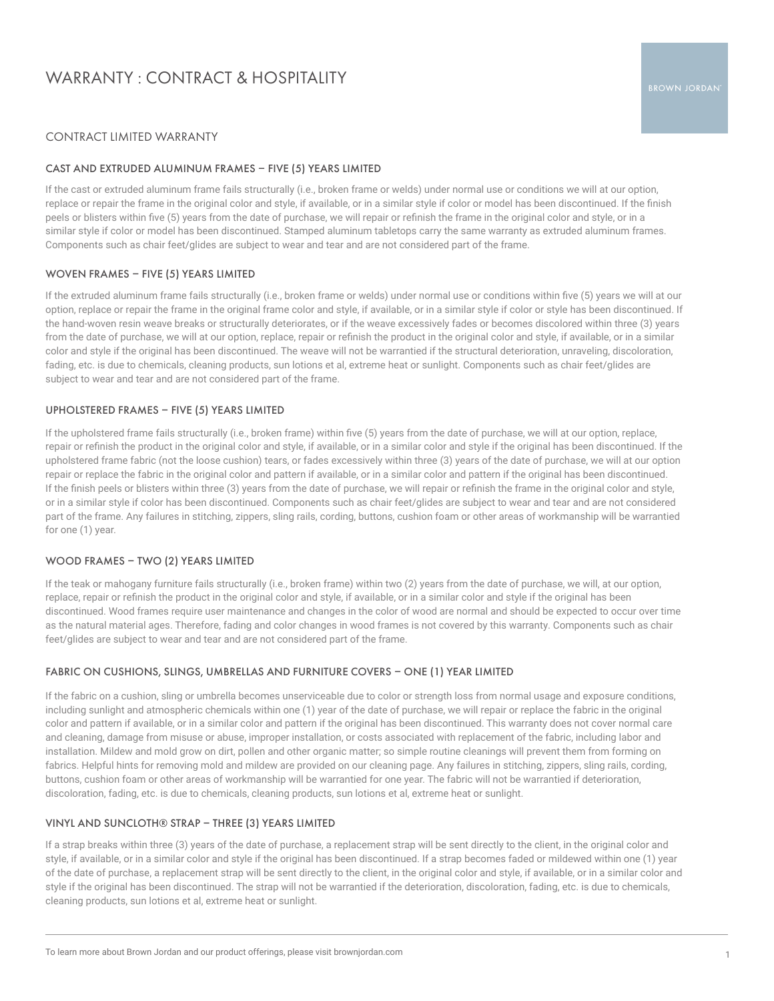# WARRANTY : CONTRACT & HOSPITALITY

# CONTRACT LIMITED WARRANTY

## CAST AND EXTRUDED ALUMINUM FRAMES – FIVE (5) YEARS LIMITED

If the cast or extruded aluminum frame fails structurally (i.e., broken frame or welds) under normal use or conditions we will at our option, replace or repair the frame in the original color and style, if available, or in a similar style if color or model has been discontinued. If the finish peels or blisters within five (5) years from the date of purchase, we will repair or refinish the frame in the original color and style, or in a similar style if color or model has been discontinued. Stamped aluminum tabletops carry the same warranty as extruded aluminum frames. Components such as chair feet/glides are subject to wear and tear and are not considered part of the frame.

## WOVEN FRAMES – FIVE (5) YEARS LIMITED

If the extruded aluminum frame fails structurally (i.e., broken frame or welds) under normal use or conditions within five (5) years we will at our option, replace or repair the frame in the original frame color and style, if available, or in a similar style if color or style has been discontinued. If the hand-woven resin weave breaks or structurally deteriorates, or if the weave excessively fades or becomes discolored within three (3) years from the date of purchase, we will at our option, replace, repair or refinish the product in the original color and style, if available, or in a similar color and style if the original has been discontinued. The weave will not be warrantied if the structural deterioration, unraveling, discoloration, fading, etc. is due to chemicals, cleaning products, sun lotions et al, extreme heat or sunlight. Components such as chair feet/glides are subject to wear and tear and are not considered part of the frame.

## UPHOLSTERED FRAMES – FIVE (5) YEARS LIMITED

If the upholstered frame fails structurally (i.e., broken frame) within five (5) years from the date of purchase, we will at our option, replace, repair or refinish the product in the original color and style, if available, or in a similar color and style if the original has been discontinued. If the upholstered frame fabric (not the loose cushion) tears, or fades excessively within three (3) years of the date of purchase, we will at our option repair or replace the fabric in the original color and pattern if available, or in a similar color and pattern if the original has been discontinued. If the finish peels or blisters within three (3) years from the date of purchase, we will repair or refinish the frame in the original color and style, or in a similar style if color has been discontinued. Components such as chair feet/glides are subject to wear and tear and are not considered part of the frame. Any failures in stitching, zippers, sling rails, cording, buttons, cushion foam or other areas of workmanship will be warrantied for one (1) year.

## WOOD FRAMES – TWO (2) YEARS LIMITED

If the teak or mahogany furniture fails structurally (i.e., broken frame) within two (2) years from the date of purchase, we will, at our option, replace, repair or refinish the product in the original color and style, if available, or in a similar color and style if the original has been discontinued. Wood frames require user maintenance and changes in the color of wood are normal and should be expected to occur over time as the natural material ages. Therefore, fading and color changes in wood frames is not covered by this warranty. Components such as chair feet/glides are subject to wear and tear and are not considered part of the frame.

## FABRIC ON CUSHIONS, SLINGS, UMBRELLAS AND FURNITURE COVERS – ONE (1) YEAR LIMITED

If the fabric on a cushion, sling or umbrella becomes unserviceable due to color or strength loss from normal usage and exposure conditions, including sunlight and atmospheric chemicals within one (1) year of the date of purchase, we will repair or replace the fabric in the original color and pattern if available, or in a similar color and pattern if the original has been discontinued. This warranty does not cover normal care and cleaning, damage from misuse or abuse, improper installation, or costs associated with replacement of the fabric, including labor and installation. Mildew and mold grow on dirt, pollen and other organic matter; so simple routine cleanings will prevent them from forming on fabrics. Helpful hints for removing mold and mildew are provided on our cleaning page. Any failures in stitching, zippers, sling rails, cording, buttons, cushion foam or other areas of workmanship will be warrantied for one year. The fabric will not be warrantied if deterioration, discoloration, fading, etc. is due to chemicals, cleaning products, sun lotions et al, extreme heat or sunlight.

## VINYL AND SUNCLOTH® STRAP – THREE (3) YEARS LIMITED

If a strap breaks within three (3) years of the date of purchase, a replacement strap will be sent directly to the client, in the original color and style, if available, or in a similar color and style if the original has been discontinued. If a strap becomes faded or mildewed within one (1) year of the date of purchase, a replacement strap will be sent directly to the client, in the original color and style, if available, or in a similar color and style if the original has been discontinued. The strap will not be warrantied if the deterioration, discoloration, fading, etc. is due to chemicals, cleaning products, sun lotions et al, extreme heat or sunlight.